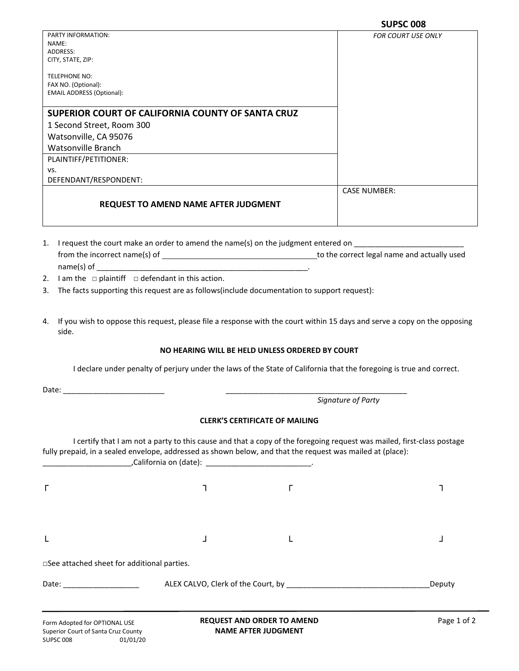| PARTY INFORMATION:                                | <b>FOR COURT USE ONLY</b> |
|---------------------------------------------------|---------------------------|
| NAME:                                             |                           |
| ADDRESS:                                          |                           |
| CITY, STATE, ZIP:                                 |                           |
| <b>TELEPHONE NO:</b>                              |                           |
| FAX NO. (Optional):                               |                           |
| <b>EMAIL ADDRESS (Optional):</b>                  |                           |
|                                                   |                           |
| SUPERIOR COURT OF CALIFORNIA COUNTY OF SANTA CRUZ |                           |
| 1 Second Street, Room 300                         |                           |
| Watsonville, CA 95076                             |                           |
| Watsonville Branch                                |                           |
| PLAINTIFF/PETITIONER:                             |                           |
| VS.                                               |                           |
| DEFENDANT/RESPONDENT:                             |                           |
|                                                   | <b>CASE NUMBER:</b>       |
| <b>REQUEST TO AMEND NAME AFTER JUDGMENT</b>       |                           |
|                                                   |                           |
|                                                   |                           |

- 1. I request the court make an order to amend the name(s) on the judgment entered on from the incorrect name(s) of to the correct legal name and actually used  $name(s)$  of
- 2. I am the  $\Box$  plaintiff  $\Box$  defendant in this action.
- 3. The facts supporting this request are as follows(include documentation to support request):
- 4. If you wish to oppose this request, please file a response with the court within 15 days and serve a copy on the opposing side.

## **NO HEARING WILL BE HELD UNLESS ORDERED BY COURT**

I declare under penalty of perjury under the laws of the State of California that the foregoing is true and correct.

Date: \_\_\_\_\_\_\_\_\_\_\_\_\_\_\_\_\_\_\_\_\_\_\_\_ \_\_\_\_\_\_\_\_\_\_\_\_\_\_\_\_\_\_\_\_\_\_\_\_\_\_\_\_\_\_\_\_\_\_\_\_\_\_\_\_\_\_\_

 *Signature of Party*

## **CLERK'S CERTIFICATE OF MAILING**

I certify that I am not a party to this cause and that a copy of the foregoing request was mailed, first-class postage fully prepaid, in a sealed envelope, addressed as shown below, and that the request was mailed at (place):  $California on (date):$ 

|                                             | $\mathcal{L}$ |        |
|---------------------------------------------|---------------|--------|
| Г                                           |               |        |
|                                             |               |        |
| □See attached sheet for additional parties. |               |        |
| Date: __________________                    |               | Deputy |